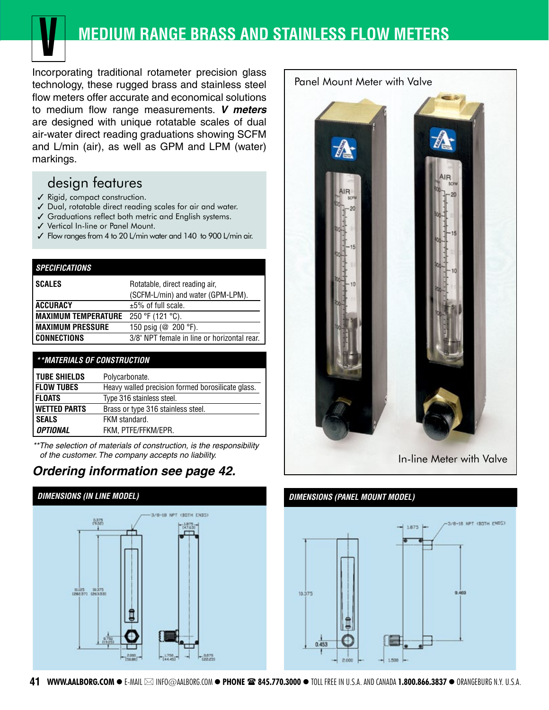

# **MEDIUM RANGE BRASS AND STAINLESS FLOW METERS**

Incorporating traditional rotameter precision glass technology, these rugged brass and stainless steel flow meters offer accurate and economical solutions to medium flow range measurements. **V meters** are designed with unique rotatable scales of dual air-water direct reading graduations showing SCFM and L/min (air), as well as GPM and LPM (water) markings.

# design features

- ✓ Rigid, compact construction.
- ✓ Dual, rotatable direct reading scales for air and water.
- ✓ Graduations reflect both metric and English systems.
- ✓ Vertical In-line or Panel Mount.
- ✓ Flow ranges from 4 to 20 L/min water and 140 to 900 L/min air.

| <b>SPECIFICATIONS</b>      |                                             |
|----------------------------|---------------------------------------------|
| <b>SCALES</b>              | Rotatable, direct reading air,              |
|                            | (SCFM-L/min) and water (GPM-LPM).           |
| <b>ACCURACY</b>            | $±5\%$ of full scale.                       |
| <b>MAXIMUM TEMPERATURE</b> | 250 °F (121 °C).                            |
| <b>MAXIMUM PRESSURE</b>    | 150 psig (@ $200$ °F).                      |
| <b>CONNECTIONS</b>         | 3/8" NPT female in line or horizontal rear. |

#### **\*\*MATERIALS OF CONSTRUCTION**

| <b>TUBE SHIELDS</b> | Polycarbonate.                                    |
|---------------------|---------------------------------------------------|
| <b>FLOW TUBES</b>   | Heavy walled precision formed borosilicate glass. |
| <b>FLOATS</b>       | Type 316 stainless steel.                         |
| <b>WETTED PARTS</b> | Brass or type 316 stainless steel.                |
| <b>SEALS</b>        | FKM standard.                                     |
| <b>OPTIONAL</b>     | FKM. PTFE/FFKM/EPR.                               |

\*\*The selection of materials of construction, is the responsibility of the customer. The company accepts no liability.

## **Ordering information see page 42.**





In-line Meter with Valve

### **DIMENSIONS (PANEL MOUNT MODEL)**

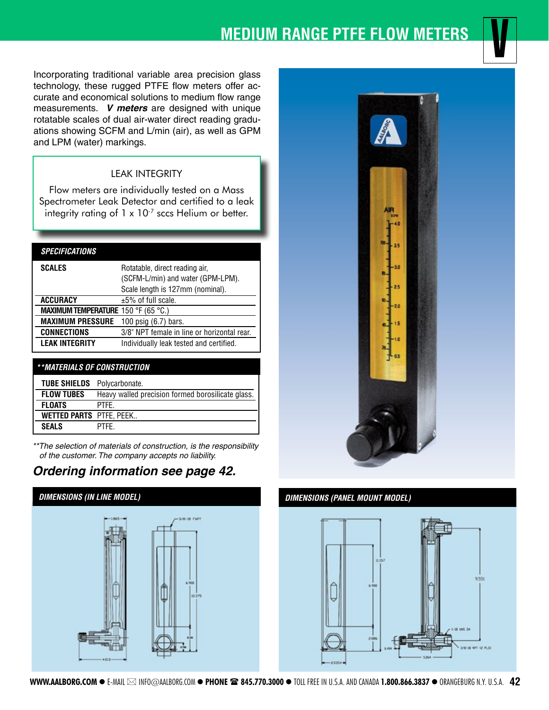# **MEDIUM RANGE PTFE FLOW METERS**

Incorporating traditional variable area precision glass technology, these rugged PTFE flow meters offer accurate and economical solutions to medium flow range measurements. **V meters** are designed with unique rotatable scales of dual air-water direct reading graduations showing SCFM and L/min (air), as well as GPM and LPM (water) markings.

## LEAK INTEGRITY

Flow meters are individually tested on a Mass Spectrometer Leak Detector and certified to a leak integrity rating of  $1 \times 10^{-7}$  sccs Helium or better.

### **SPECIFICATIONS**

| <b>SCALES</b>                         | Rotatable, direct reading air,              |
|---------------------------------------|---------------------------------------------|
|                                       | (SCFM-L/min) and water (GPM-LPM).           |
|                                       | Scale length is 127mm (nominal).            |
| <b>ACCURACY</b>                       | $±5\%$ of full scale.                       |
| MAXIMUM TEMPERATURE 150 °F (65 °C.)   |                                             |
| MAXIMUM PRESSURE 100 psig (6.7) bars. |                                             |
| <b>CONNECTIONS</b>                    | 3/8" NPT female in line or horizontal rear. |
| <b>LEAK INTEGRITY</b>                 | Individually leak tested and certified.     |

| <i><b>**MATERIALS OF CONSTRUCTION</b></i> |                                                   |
|-------------------------------------------|---------------------------------------------------|
| <b>TUBE SHIELDS</b> Polycarbonate.        |                                                   |
| <b>FLOW TUBES</b>                         | Heavy walled precision formed borosilicate glass. |
| <b>FLOATS</b>                             | PTFF.                                             |
| <b>WETTED PARTS PTFE, PEEK</b>            |                                                   |
| <b>SEALS</b>                              | <b>PTFF</b>                                       |

\*\*The selection of materials of construction, is the responsibility of the customer. The company accepts no liability.

## **Ordering information see page 42.**





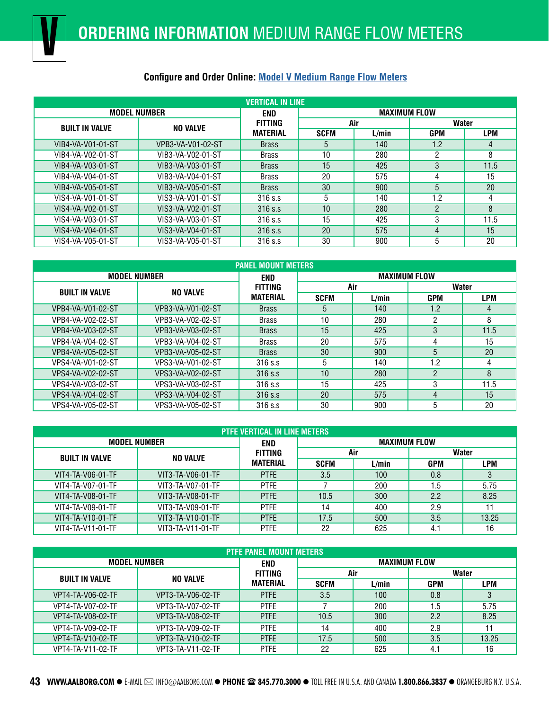## **Configure and Order Online: [Model V Medium Range Flow Meters](https://www.aalborg.com/model-v-medium-range-flow-meters_o/9)**

| <b>VERTICAL IN LINE</b> |                   |                 |             |                     |              |            |  |  |
|-------------------------|-------------------|-----------------|-------------|---------------------|--------------|------------|--|--|
| <b>MODEL NUMBER</b>     |                   | END             |             | <b>MAXIMUM FLOW</b> |              |            |  |  |
| <b>BUILT IN VALVE</b>   | <b>NO VALVE</b>   | <b>FITTING</b>  | Air         |                     | <b>Water</b> |            |  |  |
|                         |                   | <b>MATERIAL</b> | <b>SCFM</b> | L/min               | GPM          | <b>LPM</b> |  |  |
| VIB4-VA-V01-01-ST       | VPB3-VA-V01-02-ST | <b>Brass</b>    | h.          | 140                 | 1.2          | 4          |  |  |
| VIB4-VA-V02-01-ST       | VIB3-VA-V02-01-ST | <b>Brass</b>    | 10          | 280                 | 2            | 8          |  |  |
| VIB4-VA-V03-01-ST       | VIB3-VA-V03-01-ST | <b>Brass</b>    | 15          | 425                 | 3            | 11.5       |  |  |
| VIB4-VA-V04-01-ST       | VIB3-VA-V04-01-ST | <b>Brass</b>    | 20          | 575                 | 4            | 15         |  |  |
| VIB4-VA-V05-01-ST       | VIB3-VA-V05-01-ST | <b>Brass</b>    | 30          | 900                 | 5            | 20         |  |  |
| VIS4-VA-V01-01-ST       | VIS3-VA-V01-01-ST | 316 s.s         | 5           | 140                 | 1.2          | 4          |  |  |
| VIS4-VA-V02-01-ST       | VIS3-VA-V02-01-ST | 316 s.s         | 10          | 280                 | 2            | 8          |  |  |
| VIS4-VA-V03-01-ST       | VIS3-VA-V03-01-ST | 316 s.s         | 15          | 425                 | 3            | 11.5       |  |  |
| VIS4-VA-V04-01-ST       | VIS3-VA-V04-01-ST | 316 s.s         | 20          | 575                 | 4            | 15         |  |  |
| VIS4-VA-V05-01-ST       | VIS3-VA-V05-01-ST | $316$ s.s       | 30          | 900                 | 5            | 20         |  |  |

| <b>PANEL MOUNT METERS</b> |                   |                 |                     |       |                |              |  |  |
|---------------------------|-------------------|-----------------|---------------------|-------|----------------|--------------|--|--|
| <b>MODEL NUMBER</b>       |                   | <b>END</b>      | <b>MAXIMUM FLOW</b> |       |                |              |  |  |
| <b>BUILT IN VALVE</b>     | <b>NO VALVE</b>   | <b>FITTING</b>  |                     | Air   |                | <b>Water</b> |  |  |
|                           |                   | <b>MATERIAL</b> | <b>SCFM</b>         | L/min | <b>GPM</b>     | <b>LPM</b>   |  |  |
| VPB4-VA-V01-02-ST         | VPB3-VA-V01-02-ST | <b>Brass</b>    | 5                   | 140   | 1.2            | 4            |  |  |
| VPB4-VA-V02-02-ST         | VPB3-VA-V02-02-ST | <b>Brass</b>    | 10                  | 280   | 2              | 8            |  |  |
| VPB4-VA-V03-02-ST         | VPB3-VA-V03-02-ST | <b>Brass</b>    | 15 <sup>15</sup>    | 425   | 3              | 11.5         |  |  |
| VPB4-VA-V04-02-ST         | VPB3-VA-V04-02-ST | <b>Brass</b>    | 20                  | 575   | 4              | 15           |  |  |
| VPB4-VA-V05-02-ST         | VPB3-VA-V05-02-ST | <b>Brass</b>    | 30                  | 900   | 5              | 20           |  |  |
| VPS4-VA-V01-02-ST         | VPS3-VA-V01-02-ST | 316 s.s         | 5                   | 140   | 1.2            | 4            |  |  |
| VPS4-VA-V02-02-ST         | VPS3-VA-V02-02-ST | $316$ s.s       | 10                  | 280   | $\mathfrak{p}$ | 8            |  |  |
| VPS4-VA-V03-02-ST         | VPS3-VA-V03-02-ST | $316$ s.s       | 15                  | 425   | 3              | 11.5         |  |  |
| VPS4-VA-V04-02-ST         | VPS3-VA-V04-02-ST | 316 s.s         | 20                  | 575   | 4              | 15           |  |  |
| VPS4-VA-V05-02-ST         | VPS3-VA-V05-02-ST | $316$ s.s       | 30                  | 900   | 5              | 20           |  |  |

| <b>PTFE VERTICAL IN LINE METERS</b> |                   |                 |                     |       |            |       |  |  |  |
|-------------------------------------|-------------------|-----------------|---------------------|-------|------------|-------|--|--|--|
| <b>MODEL NUMBER</b>                 |                   | <b>END</b>      | <b>MAXIMUM FLOW</b> |       |            |       |  |  |  |
| <b>BUILT IN VALVE</b>               | <b>NO VALVE</b>   | <b>FITTING</b>  | Air                 |       | Water      |       |  |  |  |
|                                     |                   | <b>MATERIAL</b> | <b>SCFM</b>         | L/min | <b>GPM</b> | LPM   |  |  |  |
| VIT4-TA-V06-01-TF                   | VIT3-TA-V06-01-TF | <b>PTFE</b>     | 3.5                 | 100   | 0.8        | 3     |  |  |  |
| VIT4-TA-V07-01-TF                   | VIT3-TA-V07-01-TF | <b>PTFE</b>     |                     | 200   | 1.5        | 5.75  |  |  |  |
| VIT4-TA-V08-01-TF                   | VIT3-TA-V08-01-TF | <b>PTFE</b>     | 10.5                | 300   | 2.2        | 8.25  |  |  |  |
| VIT4-TA-V09-01-TF                   | VIT3-TA-V09-01-TF | <b>PTFE</b>     | 14                  | 400   | 2.9        | 11    |  |  |  |
| VIT4-TA-V10-01-TF                   | VIT3-TA-V10-01-TF | <b>PTFE</b>     | 17.5                | 500   | 3.5        | 13.25 |  |  |  |
| VIT4-TA-V11-01-TF                   | VIT3-TA-V11-01-TF | <b>PTFE</b>     | 22                  | 625   | 4.1        | 16    |  |  |  |

| <b>PTFE PANEL MOUNT METERS</b> |                                                   |                 |             |       |               |            |  |  |
|--------------------------------|---------------------------------------------------|-----------------|-------------|-------|---------------|------------|--|--|
|                                | <b>MODEL NUMBER</b><br><b>MAXIMUM FLOW</b><br>END |                 |             |       |               |            |  |  |
| <b>BUILT IN VALVE</b>          | <b>NO VALVE</b>                                   | <b>FITTING</b>  |             | Air   | <b>Water</b>  |            |  |  |
|                                |                                                   | <b>MATERIAL</b> | <b>SCFM</b> | L/min | <b>GPM</b>    | <b>LPM</b> |  |  |
| VPT4-TA-V06-02-TF              | VPT3-TA-V06-02-TF                                 | <b>PTFE</b>     | 3.5         | 100   | 0.8           | 3          |  |  |
| VPT4-TA-V07-02-TF              | VPT3-TA-V07-02-TF                                 | <b>PTFE</b>     |             | 200   | 1.5           | 5.75       |  |  |
| VPT4-TA-V08-02-TF              | VPT3-TA-V08-02-TF                                 | <b>PTFE</b>     | 10.5        | 300   | $2.2^{\circ}$ | 8.25       |  |  |
| VPT4-TA-V09-02-TF              | VPT3-TA-V09-02-TF                                 | <b>PTFE</b>     | 14          | 400   | 2.9           | 11         |  |  |
| VPT4-TA-V10-02-TF              | VPT3-TA-V10-02-TF                                 | <b>PTFE</b>     | 17.5        | 500   | 3.5           | 13.25      |  |  |
| VPT4-TA-V11-02-TF              | VPT3-TA-V11-02-TF                                 | <b>PTFE</b>     | 22          | 625   | 4.1           | 16         |  |  |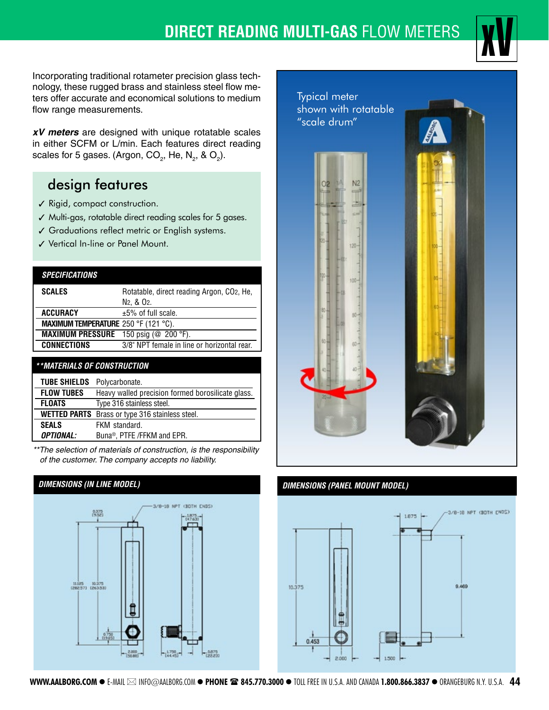# **DIRECT READING MULTI-GAS FLOW METERS**



Incorporating traditional rotameter precision glass technology, these rugged brass and stainless steel flow meters offer accurate and economical solutions to medium flow range measurements.

**xV meters** are designed with unique rotatable scales in either SCFM or L/min. Each features direct reading scales for 5 gases. (Argon, CO $_2$ , He, N $_2$ , & O $_2$ ).

# design features

- $\checkmark$  Rigid, compact construction.
- $\checkmark$  Multi-gas, rotatable direct reading scales for 5 gases.
- $\checkmark$  Graduations reflect metric or English systems.
- ✓ Vertical In-line or Panel Mount.

| <b>SCALES</b><br>Rotatable, direct reading Argon, CO <sub>2</sub> , He,<br>N <sub>2</sub> , & O <sub>2</sub> .<br><b>ACCURACY</b><br>$±5\%$ of full scale.<br>MAXIMUM TEMPERATURE 250 °F (121 °C). |
|----------------------------------------------------------------------------------------------------------------------------------------------------------------------------------------------------|
|                                                                                                                                                                                                    |
|                                                                                                                                                                                                    |
|                                                                                                                                                                                                    |
|                                                                                                                                                                                                    |
| MAXIMUM PRESSURE 150 psig (@ 200 °F).                                                                                                                                                              |
| <b>CONNECTIONS</b><br>3/8" NPT female in line or horizontal rear.                                                                                                                                  |

| <b>**MATERIALS OF CONSTRUCTION</b> |                                                        |
|------------------------------------|--------------------------------------------------------|
| TUBE SHIELDS                       | Polycarbonate.                                         |
| <b>FLOW TUBES</b>                  | Heavy walled precision formed borosilicate glass.      |
| <b>FLOATS</b>                      | Type 316 stainless steel.                              |
|                                    | <b>WETTED PARTS</b> Brass or type 316 stainless steel. |
| <b>SEALS</b>                       | FKM standard.                                          |
| <i><b>OPTIONAL:</b></i>            | Buna®, PTFE /FFKM and EPR.                             |

\*\*The selection of materials of construction, is the responsibility of the customer. The company accepts no liability.